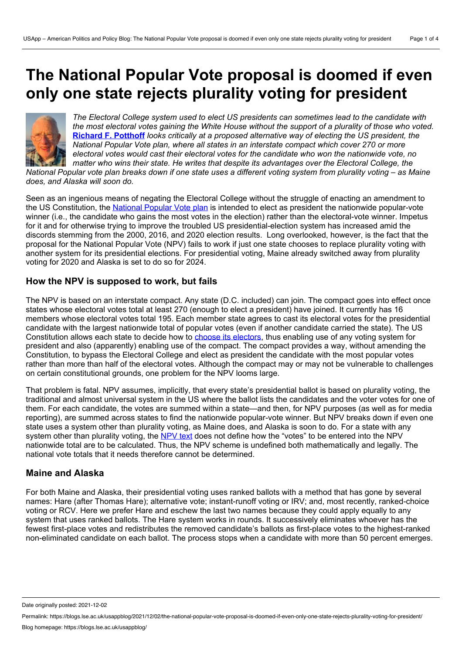# **The National Popular Vote proposal is doomed ifeven only one state rejects plurality voting for president**



*The Electoral College system used to elect US presidents can sometimes lead to the candidate with* the most electoral votes gaining the White House without the support of a plurality of those who voted. **Richard F. [Potthoff](https://wp.me/p3I2YF-blx#Author)** *looks critically at a proposed alternative way of electing the US president, the National Popular Vote plan, where all states in an interstate compact which cover 270 or more electoral votes would cast their electoral votes for the candidate who won the nationwide vote, no matter who wins their state. He writes that despite its advantages over the Electoral College, the* National Popular vote plan breaks down if one state uses a different voting system from plurality voting – as Maine

*does, and Alaska will soon do.*

Seen as an ingenious means of negating the Electoral College without the struggle of enacting an amendment to the US Constitution, the [National](https://www.every-vote-equal.com/sites/default/files/everyvoteequal-4th-ed-2013-02-21.pdf) Popular Vote plan is intended to elect as president the nationwide popular-vote winner (i.e., the candidate who gains the most votes in the election) rather than the electoral-vote winner. Impetus for it and for otherwise trying to improve the troubled US presidential-election system has increased amid the discords stemming from the 2000, 2016, and 2020 election results. Long overlooked, however, is the fact that the proposal for the National Popular Vote (NPV) fails to work if just one state chooses to replace plurality voting with another system for its presidential elections. For presidential voting, Maine already switched away from plurality voting for 2020 and Alaska is set to do so for 2024.

# **How the NPV is supposed to work, but fails**

The NPV is based on an interstate compact. Any state (D.C. included) can join. The compact goes into effect once states whose electoral votes total at least 270 (enough to elect a president) have joined. It currently has 16 members whose electoral votes total 195. Each member state agrees to cast its electoral votes for the presidential candidate with the largest nationwide total of popular votes (even if another candidate carried the state). The US Constitution allows each state to decide how to choose its [electors](https://constitution.congress.gov/browse/article-2/section-1/clause-2/), thus enabling use of any voting system for president and also (apparently) enabling use of the compact. The compact provides a way, without amending the Constitution, to bypass the Electoral College and elect as president the candidate with the most popular votes rather than more than half of the electoral votes. Although the compact may or may not be vulnerable to challenges on certain constitutional grounds, one problem for the NPV looms large.

That problem is fatal. NPV assumes, implicitly, that every state's presidential ballot is based on plurality voting, the traditional and almost universal system in the US where the ballot lists the candidates and the voter votes for one of them. For each candidate, the votes are summed within a state—and then, for NPV purposes (as well as for media reporting), are summed across states to find the nationwide popular-vote winner. But NPV breaks down if even one state uses a system other than plurality voting, as Maine does, and Alaska is soon to do. For a state with any system other than plurality voting, the [NPV](https://www.nationalpopularvote.com/bill-text) text does not define how the "votes" to be entered into the NPV nationwide total are to be calculated. Thus, the NPV scheme is undefined both mathematically and legally. The national vote totals that it needs therefore cannot be determined.

# **Maine and Alaska**

For both Maine and Alaska, their presidential voting uses ranked ballots with a method that has gone by several names: Hare (after Thomas Hare); alternative vote; instant-runoff voting or IRV; and, most recently, ranked-choice voting or RCV. Here we prefer Hare and eschew the last two names because they could apply equally to any system that uses ranked ballots. The Hare system works in rounds. It successively eliminates whoever has the fewest first-place votes and redistributes the removed candidate's ballots as first-place votes to the highest-ranked non-eliminated candidate on each ballot. The process stops when a candidate with more than 50 percent emerges.

Date originally posted: 2021-12-02

Permalink: https://blogs.lse.ac.uk/usappblog/2021/12/02/the-national-popular-vote-proposal-is-doomed-if-even-only-one-state-rejects-plurality-voting-for-president/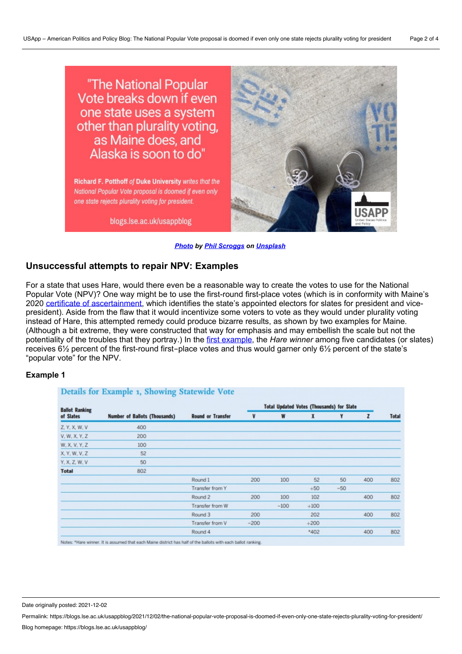"The National Popular Vote breaks down if even one state uses a system other than plurality voting, as Maine does, and Alaska is soon to do"

Richard F. Potthoff of Duke University writes that the National Popular Vote proposal is doomed if even only one state rejects plurality voting for president.

blogs.lse.ac.uk/usappblog



#### *[Photo](https://unsplash.com/photos/u1JI6dw1vg8) by Phil [Scroggs](https://unsplash.com/@phillustrations?utm_source=unsplash&utm_medium=referral&utm_content=creditCopyText) on [Unsplash](https://unsplash.com/?utm_source=unsplash&utm_medium=referral&utm_content=creditCopyText)*

## **Unsuccessful attempts to repair NPV: Examples**

For a state that uses Hare, would there even be a reasonable way to create the votes to use for the National Popular Vote (NPV)? One way might be to use the first-round first-place votes (which is in conformity with Maine's 2020 certificate of [ascertainment,](https://www.archives.gov/files/electoral-college/2020/ascertainment-maine.pdf) which identifies the state's appointed electors for slates for president and vicepresident). Aside from the flaw that it would incentivize some voters to vote as they would under plurality voting instead of Hare, this attempted remedy could produce bizarre results, as shown by two examples for Maine. (Although a bit extreme, they were constructed that way for emphasis and may embellish the scale but not the potentiality of the troubles that they portray.) In the first [example](https://www.cambridge.org/core/journals/ps-political-science-and-politics/article/abs/clashes-involving-national-popular-vote-hare-rcv-maine-alaska/AB088ED515CB890971129734D038AC88), the *Hare winner* among five candidates (or slates) receives 6½ percent of the first-round first-place votes and thus would garner only 6½ percent of the state's "popular vote" for the NPV.

#### **Example 1**

| <b>Ballot Ranking</b><br>of Slates | <b>Number of Ballots (Thousands)</b> | <b>Round or Transfer</b> | <b>Total Updated Votes (Thousands) for Slate</b> |        |        |       |              |              |
|------------------------------------|--------------------------------------|--------------------------|--------------------------------------------------|--------|--------|-------|--------------|--------------|
|                                    |                                      |                          | V                                                | W      | X      | Y     | $\mathbf{z}$ | <b>Total</b> |
| Z. Y. X. W. V                      | 400                                  |                          |                                                  |        |        |       |              |              |
| V. W. X. Y. Z.                     | 200                                  |                          |                                                  |        |        |       |              |              |
| W. X. V. Y. Z                      | 100                                  |                          |                                                  |        |        |       |              |              |
| X, Y, W, V, Z                      | 52                                   |                          |                                                  |        |        |       |              |              |
| Y. X. Z. W. V                      | 50                                   |                          |                                                  |        |        |       |              |              |
| <b>Total</b>                       | 802                                  |                          |                                                  |        |        |       |              |              |
|                                    |                                      | Round 1                  | 200                                              | 100    | 52     | 50    | 400          | 802          |
|                                    |                                      | Transfer from Y          |                                                  |        | $+50$  | $-50$ |              |              |
|                                    |                                      | Round 2                  | 200                                              | 100    | 102    |       | 400          | 802          |
|                                    |                                      | Transfer from W          |                                                  | $-100$ | $+100$ |       |              |              |
|                                    |                                      | Round 3                  | 200                                              |        | 202    |       | 400          | 802          |
|                                    |                                      | Transfer from V          | $-200$                                           |        | $+200$ |       |              |              |
|                                    |                                      | Round 4                  |                                                  |        | $*402$ |       | 400          | 802          |

r. It is assumed that each Maine district has half of the ballots with each ballot ranking

Date originally posted: 2021-12-02

Permalink: https://blogs.lse.ac.uk/usappblog/2021/12/02/the-national-popular-vote-proposal-is-doomed-if-even-only-one-state-rejects-plurality-voting-for-president/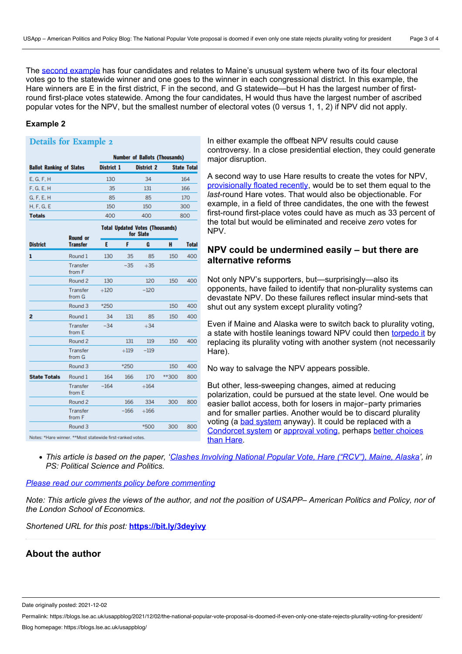The second [example](https://www.cambridge.org/core/journals/ps-political-science-and-politics/article/abs/clashes-involving-national-popular-vote-hare-rcv-maine-alaska/AB088ED515CB890971129734D038AC88) has four candidates and relates to Maine's unusual system where two of its four electoral votes go to the statewide winner and one goes to the winner in each congressional district. In this example, the Hare winners are E in the first district, F in the second, and G statewide—but H has the largest number of firstround first-place votes statewide. Among the four candidates, H would thus have the largest number of ascribed popular votes for the NPV, but the smallest number of electoral votes (0 versus 1, 1, 2) if NPV did not apply.

#### **Example 2**

## **Details for Example 2**

|                                 | <b>Number of Ballots (Thousands)</b> |            |                    |  |  |
|---------------------------------|--------------------------------------|------------|--------------------|--|--|
| <b>Ballot Ranking of Slates</b> | District 1                           | District 2 | <b>State Total</b> |  |  |
| E, G, F, H                      | 130                                  | 34         | 164                |  |  |
| F. G. E. H                      | 35                                   | 131        | 166                |  |  |
| G, F, E, H                      | 85                                   | 85         | 170                |  |  |
| H, F, G, E                      | 150                                  | 150        | 300                |  |  |
| <b>Totals</b>                   | 400                                  | 400        | 800                |  |  |
| Tatal Hadatad Matas (Thomasada) |                                      |            |                    |  |  |

|                     | <b>Round or</b><br><b>Transfer</b> | no transmomana l<br>for Slate |        |        |       |              |
|---------------------|------------------------------------|-------------------------------|--------|--------|-------|--------------|
| <b>District</b>     |                                    | Ε                             | F      | G      | н     | <b>Total</b> |
| 1                   | Round 1                            | 130                           | 35     | 85     | 150   | 400          |
|                     | Transfer<br>from F                 |                               | $-35$  | $+35$  |       |              |
|                     | Round <sub>2</sub>                 | 130                           |        | 120    | 150   | 400          |
|                     | Transfer<br>from G                 | $+120$                        |        | $-120$ |       |              |
|                     | Round <sub>3</sub>                 | *250                          |        |        | 150   | 400          |
| $\overline{2}$      | Round 1                            | 34                            | 131    | 85     | 150   | 400          |
|                     | Transfer<br>from E                 | $-34$                         |        | $+34$  |       |              |
|                     | Round 2                            |                               | 131    | 119    | 150   | 400          |
|                     | Transfer<br>from G                 |                               | $+119$ | $-119$ |       |              |
|                     | Round 3                            |                               | *250   |        | 150   | 400          |
| <b>State Totals</b> | Round 1                            | 164                           | 166    | 170    | **300 | 800          |
|                     | Transfer<br>from E                 | $-164$                        |        | $+164$ |       |              |
|                     | Round 2                            |                               | 166    | 334    | 300   | 800          |
|                     | Transfer<br>from F                 |                               | $-166$ | $+166$ |       |              |
|                     | Round 3                            |                               |        | *500   | 300   | 800          |

In either example the offbeat NPV results could cause controversy. In a close presidential election, they could generate major disruption.

A second way to use Hare results to create the votes for NPV, [provisionally](https://harvardlpr.com/wp-content/uploads/sites/20/2021/08/HLP106.pdf) floated recently, would be to set them equal to the *last*-round Hare votes. That would also be objectionable. For example, in a field of three candidates, the one with the fewest first-round first-place votes could have as much as 33 percent of the total but would be eliminated and receive *zero* votes for **NPV** 

# **NPV could be undermined easily – but there are alternative reforms**

Not only NPV's supporters, but—surprisingly—also its opponents, have failed to identify that non-plurality systems can devastate NPV. Do these failures reflect insular mind-sets that shut out any system except plurality voting?

Even if Maine and Alaska were to switch back to plurality voting, a state with hostile leanings toward NPV could then [torpedo](https://www.mdpi.com/2076-0760/8/5/134) it by replacing its plurality voting with another system (not necessarily Hare).

No way to salvage the NPV appears possible.

But other, less-sweeping changes, aimed at reducing polarization, could be pursued at the state level. One would be easier ballot access, both for losers in major-party primaries and for smaller parties. Another would be to discard plurality voting (a bad [system](https://electionscience.org/voting-methods/spoiler-effect-top-5-ways-plurality-voting-fails/) anyway). It could be replaced with a [Condorcet](https://scholar.harvard.edu/files/maskin/files/voting.pdf) system or [approval](https://electionscience.org/library/approval-voting/) voting, perhaps better choices than Hare.

• This article is based on the paper, 'Clashes [Involving](https://www.cambridge.org/core/journals/ps-political-science-and-politics/article/clashes-involving-national-popular-vote-hare-rcv-maine-alaska/AB088ED515CB890971129734D038AC88) National Popular Vote, Hare ("RCV"), Maine, Alaska', in *PS: Political Science and Politics.*

### *Please read our comments policy before [commenting](http://blogs.lse.ac.uk/usappblog/comments-policy/)*

Note: This article gives the views of the author, and not the position of USAPP- American Politics and Policy, nor of *the London School of Economics.*

*Shortened URL for this post:* **<https://bit.ly/3deyivy>**

# **About the author**

Date originally posted: 2021-12-02

Permalink: https://blogs.lse.ac.uk/usappblog/2021/12/02/the-national-popular-vote-proposal-is-doomed-if-even-only-one-state-rejects-plurality-voting-for-president/